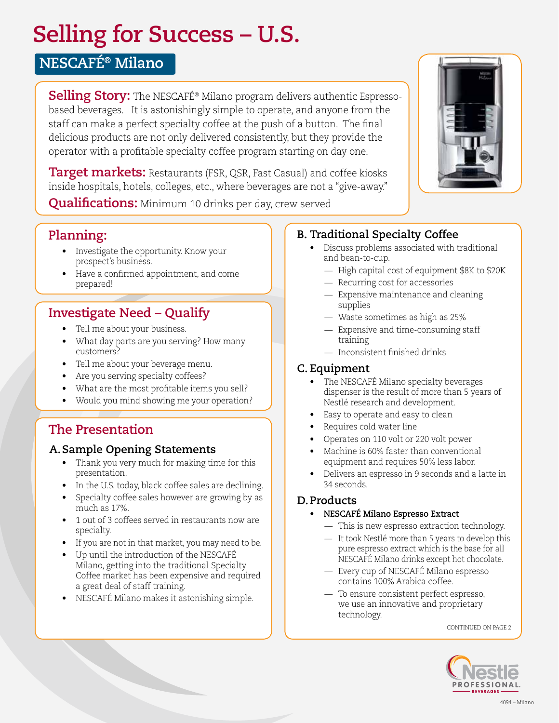# **Selling for Success – U.S.**

# **NESCAFÉ® Milano**

**Selling Story:** The NESCAFÉ® Milano program delivers authentic Espressobased beverages. It is astonishingly simple to operate, and anyone from the staff can make a perfect specialty coffee at the push of a button. The final delicious products are not only delivered consistently, but they provide the operator with a profitable specialty coffee program starting on day one.

**Target markets:** Restaurants (FSR, QSR, Fast Casual) and coffee kiosks inside hospitals, hotels, colleges, etc., where beverages are not a "give-away."

**Qualifications:** Minimum 10 drinks per day, crew served

# **Planning:**

- Investigate the opportunity. Know your prospect's business.
- Have a confirmed appointment, and come prepared!

# **Investigate Need – Qualify**

- Tell me about your business.
- What day parts are you serving? How many customers?
- Tell me about your beverage menu.
- Are you serving specialty coffees?
- What are the most profitable items you sell?
- Would you mind showing me your operation?

# **The Presentation**

### **A.Sample Opening Statements**

- Thank you very much for making time for this presentation.
- In the U.S. today, black coffee sales are declining.
- Specialty coffee sales however are growing by as much as 17%.
- 1 out of 3 coffees served in restaurants now are specialty.
- If you are not in that market, you may need to be.
- Up until the introduction of the NESCAFÉ Milano, getting into the traditional Specialty Coffee market has been expensive and required a great deal of staff training.
- NESCAFÉ Milano makes it astonishing simple.

# **B. Traditional Specialty Coffee**

- Discuss problems associated with traditional and bean-to-cup.
	- High capital cost of equipment \$8K to \$20K
	- Recurring cost for accessories
	- Expensive maintenance and cleaning supplies
	- Waste sometimes as high as 25%
	- Expensive and time-consuming staff training
	- Inconsistent finished drinks

### **C. Equipment**

- The NESCAFÉ Milano specialty beverages dispenser is the result of more than 5 years of Nestlé research and development.
- Easy to operate and easy to clean
- Requires cold water line
- Operates on 110 volt or 220 volt power
- Machine is 60% faster than conventional equipment and requires 50% less labor.
- Delivers an espresso in 9 seconds and a latte in 34 seconds.

### **D.Products**

#### **• NESCAFÉ Milano Espresso Extract**

- This is new espresso extraction technology.
- It took Nestlé more than 5 years to develop this pure espresso extract which is the base for all NESCAFÉ Milano drinks except hot chocolate.
- Every cup of NESCAFÉ Milano espresso contains 100% Arabica coffee.
- To ensure consistent perfect espresso, we use an innovative and proprietary technology.

CONTINUED ON PAGE 2